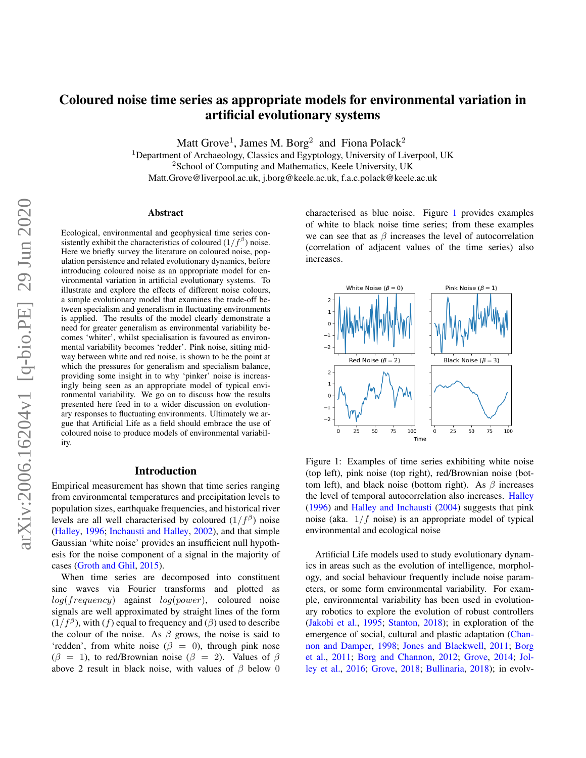# Coloured noise time series as appropriate models for environmental variation in artificial evolutionary systems

Matt Grove<sup>1</sup>, James M. Borg<sup>2</sup> and Fiona Polack<sup>2</sup>

<sup>1</sup>Department of Archaeology, Classics and Egyptology, University of Liverpool, UK <sup>2</sup>School of Computing and Mathematics, Keele University, UK Matt.Grove@liverpool.ac.uk, j.borg@keele.ac.uk, f.a.c.polack@keele.ac.uk

#### Abstract

Ecological, environmental and geophysical time series consistently exhibit the characteristics of coloured  $(1/f^{\beta})$  noise. Here we briefly survey the literature on coloured noise, population persistence and related evolutionary dynamics, before introducing coloured noise as an appropriate model for environmental variation in artificial evolutionary systems. To illustrate and explore the effects of different noise colours, a simple evolutionary model that examines the trade-off between specialism and generalism in fluctuating environments is applied. The results of the model clearly demonstrate a need for greater generalism as environmental variability becomes 'whiter', whilst specialisation is favoured as environmental variability becomes 'redder'. Pink noise, sitting midway between white and red noise, is shown to be the point at which the pressures for generalism and specialism balance, providing some insight in to why 'pinker' noise is increasingly being seen as an appropriate model of typical environmental variability. We go on to discuss how the results presented here feed in to a wider discussion on evolutionary responses to fluctuating environments. Ultimately we argue that Artificial Life as a field should embrace the use of coloured noise to produce models of environmental variability.

### Introduction

Empirical measurement has shown that time series ranging from environmental temperatures and precipitation levels to population sizes, earthquake frequencies, and historical river levels are all well characterised by coloured  $(1/f^{\beta})$  noise [\(Halley,](#page-6-0) [1996;](#page-6-0) [Inchausti and Halley,](#page-7-0) [2002\)](#page-7-0), and that simple Gaussian 'white noise' provides an insufficient null hypothesis for the noise component of a signal in the majority of cases [\(Groth and Ghil,](#page-6-1) [2015\)](#page-6-1).

When time series are decomposed into constituent sine waves via Fourier transforms and plotted as  $log(frequency)$  against  $log(power)$ , coloured noise signals are well approximated by straight lines of the form  $(1/f^{\beta})$ , with  $(f)$  equal to frequency and  $(\beta)$  used to describe the colour of the noise. As  $\beta$  grows, the noise is said to 'redden', from white noise ( $\beta = 0$ ), through pink nose  $(\beta = 1)$ , to red/Brownian noise  $(\beta = 2)$ . Values of  $\beta$ above 2 result in black noise, with values of  $\beta$  below 0 characterised as blue noise. Figure [1](#page-0-0) provides examples of white to black noise time series; from these examples we can see that as  $\beta$  increases the level of autocorrelation (correlation of adjacent values of the time series) also increases.



<span id="page-0-0"></span>Figure 1: Examples of time series exhibiting white noise (top left), pink noise (top right), red/Brownian noise (bottom left), and black noise (bottom right). As  $\beta$  increases the level of temporal autocorrelation also increases. [Halley](#page-6-0) [\(1996\)](#page-6-0) and [Halley and Inchausti](#page-6-2) [\(2004\)](#page-6-2) suggests that pink noise (aka.  $1/f$  noise) is an appropriate model of typical environmental and ecological noise

Artificial Life models used to study evolutionary dynamics in areas such as the evolution of intelligence, morphology, and social behaviour frequently include noise parameters, or some form environmental variability. For example, environmental variability has been used in evolutionary robotics to explore the evolution of robust controllers [\(Jakobi et al.,](#page-7-1) [1995;](#page-7-1) [Stanton,](#page-7-2) [2018\)](#page-7-2); in exploration of the emergence of social, cultural and plastic adaptation [\(Chan](#page-6-3)[non and Damper,](#page-6-3) [1998;](#page-6-3) [Jones and Blackwell,](#page-7-3) [2011;](#page-7-3) [Borg](#page-6-4) [et al.,](#page-6-4) [2011;](#page-6-4) [Borg and Channon,](#page-6-5) [2012;](#page-6-5) [Grove,](#page-6-6) [2014;](#page-6-6) [Jol](#page-7-4)[ley et al.,](#page-7-4) [2016;](#page-7-4) [Grove,](#page-6-7) [2018;](#page-6-7) [Bullinaria,](#page-6-8) [2018\)](#page-6-8); in evolv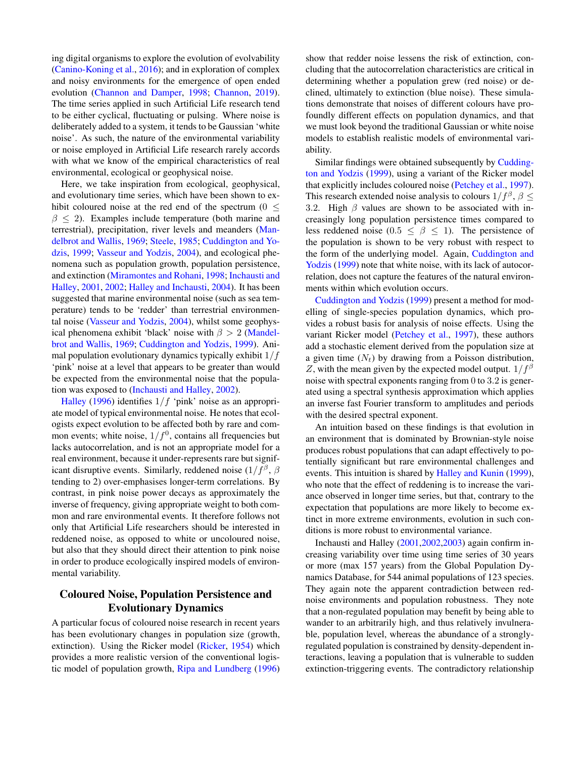ing digital organisms to explore the evolution of evolvability [\(Canino-Koning et al.,](#page-6-9) [2016\)](#page-6-9); and in exploration of complex and noisy environments for the emergence of open ended evolution [\(Channon and Damper,](#page-6-3) [1998;](#page-6-3) [Channon,](#page-6-10) [2019\)](#page-6-10). The time series applied in such Artificial Life research tend to be either cyclical, fluctuating or pulsing. Where noise is deliberately added to a system, it tends to be Gaussian 'white noise'. As such, the nature of the environmental variability or noise employed in Artificial Life research rarely accords with what we know of the empirical characteristics of real environmental, ecological or geophysical noise.

Here, we take inspiration from ecological, geophysical, and evolutionary time series, which have been shown to exhibit coloured noise at the red end of the spectrum  $(0 \le$  $\beta \leq 2$ ). Examples include temperature (both marine and terrestrial), precipitation, river levels and meanders [\(Man](#page-7-5)[delbrot and Wallis,](#page-7-5) [1969;](#page-7-5) [Steele,](#page-7-6) [1985;](#page-7-6) [Cuddington and Yo](#page-6-11)[dzis,](#page-6-11) [1999;](#page-6-11) [Vasseur and Yodzis,](#page-7-7) [2004\)](#page-7-7), and ecological phenomena such as population growth, population persistence, and extinction [\(Miramontes and Rohani,](#page-7-8) [1998;](#page-7-8) [Inchausti and](#page-7-9) [Halley,](#page-7-9) [2001,](#page-7-9) [2002;](#page-7-0) [Halley and Inchausti,](#page-6-2) [2004\)](#page-6-2). It has been suggested that marine environmental noise (such as sea temperature) tends to be 'redder' than terrestrial environmental noise [\(Vasseur and Yodzis,](#page-7-7) [2004\)](#page-7-7), whilst some geophysical phenomena exhibit 'black' noise with  $\beta > 2$  [\(Mandel](#page-7-5)[brot and Wallis,](#page-7-5) [1969;](#page-7-5) [Cuddington and Yodzis,](#page-6-11) [1999\)](#page-6-11). Animal population evolutionary dynamics typically exhibit  $1/f$ 'pink' noise at a level that appears to be greater than would be expected from the environmental noise that the population was exposed to [\(Inchausti and Halley,](#page-7-0) [2002\)](#page-7-0).

[Halley](#page-6-0) [\(1996\)](#page-6-0) identifies  $1/f$  'pink' noise as an appropriate model of typical environmental noise. He notes that ecologists expect evolution to be affected both by rare and common events; white noise,  $1/f<sup>0</sup>$ , contains all frequencies but lacks autocorrelation, and is not an appropriate model for a real environment, because it under-represents rare but significant disruptive events. Similarly, reddened noise  $(1/f^{\beta}, \beta)$ tending to 2) over-emphasises longer-term correlations. By contrast, in pink noise power decays as approximately the inverse of frequency, giving appropriate weight to both common and rare environmental events. It therefore follows not only that Artificial Life researchers should be interested in reddened noise, as opposed to white or uncoloured noise, but also that they should direct their attention to pink noise in order to produce ecologically inspired models of environmental variability.

# Coloured Noise, Population Persistence and Evolutionary Dynamics

A particular focus of coloured noise research in recent years has been evolutionary changes in population size (growth, extinction). Using the Ricker model [\(Ricker,](#page-7-10) [1954\)](#page-7-10) which provides a more realistic version of the conventional logistic model of population growth, [Ripa and Lundberg](#page-7-11) [\(1996\)](#page-7-11) show that redder noise lessens the risk of extinction, concluding that the autocorrelation characteristics are critical in determining whether a population grew (red noise) or declined, ultimately to extinction (blue noise). These simulations demonstrate that noises of different colours have profoundly different effects on population dynamics, and that we must look beyond the traditional Gaussian or white noise models to establish realistic models of environmental variability.

Similar findings were obtained subsequently by [Cudding](#page-6-11)[ton and Yodzis](#page-6-11) [\(1999\)](#page-6-11), using a variant of the Ricker model that explicitly includes coloured noise [\(Petchey et al.,](#page-7-12) [1997\)](#page-7-12). This research extended noise analysis to colours  $1/f^{\beta}$ ,  $\beta \leq$ 3.2. High  $\beta$  values are shown to be associated with increasingly long population persistence times compared to less reddened noise (0.5  $\leq \beta \leq 1$ ). The persistence of the population is shown to be very robust with respect to the form of the underlying model. Again, [Cuddington and](#page-6-11) [Yodzis](#page-6-11) [\(1999\)](#page-6-11) note that white noise, with its lack of autocorrelation, does not capture the features of the natural environments within which evolution occurs.

[Cuddington and Yodzis](#page-6-11) [\(1999\)](#page-6-11) present a method for modelling of single-species population dynamics, which provides a robust basis for analysis of noise effects. Using the variant Ricker model [\(Petchey et al.,](#page-7-12) [1997\)](#page-7-12), these authors add a stochastic element derived from the population size at a given time  $(N_t)$  by drawing from a Poisson distribution, Z, with the mean given by the expected model output.  $1/f^{\beta}$ noise with spectral exponents ranging from 0 to 3.2 is generated using a spectral synthesis approximation which applies an inverse fast Fourier transform to amplitudes and periods with the desired spectral exponent.

An intuition based on these findings is that evolution in an environment that is dominated by Brownian-style noise produces robust populations that can adapt effectively to potentially significant but rare environmental challenges and events. This intuition is shared by [Halley and Kunin](#page-6-12) [\(1999\)](#page-6-12), who note that the effect of reddening is to increase the variance observed in longer time series, but that, contrary to the expectation that populations are more likely to become extinct in more extreme environments, evolution in such conditions is more robust to environmental variance.

Inchausti and Halley [\(2001,](#page-7-9)[2002,](#page-7-0)[2003\)](#page-7-13) again confirm increasing variability over time using time series of 30 years or more (max 157 years) from the Global Population Dynamics Database, for 544 animal populations of 123 species. They again note the apparent contradiction between rednoise environments and population robustness. They note that a non-regulated population may benefit by being able to wander to an arbitrarily high, and thus relatively invulnerable, population level, whereas the abundance of a stronglyregulated population is constrained by density-dependent interactions, leaving a population that is vulnerable to sudden extinction-triggering events. The contradictory relationship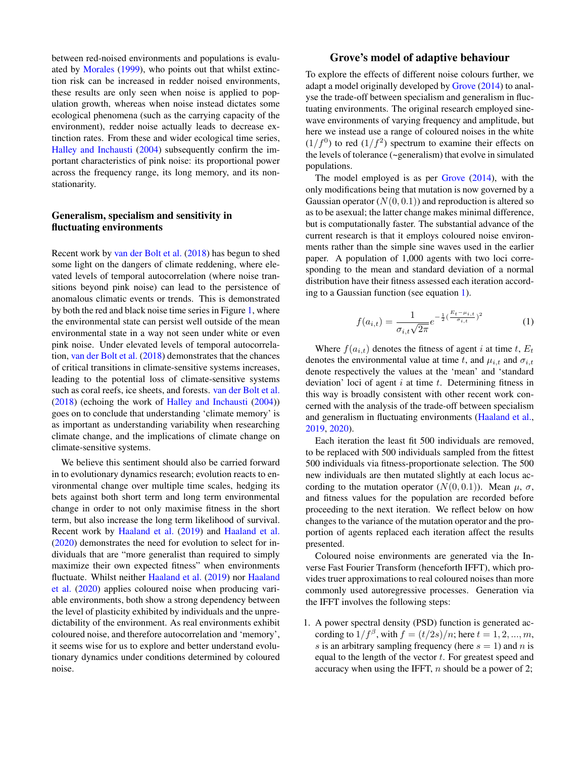between red-noised environments and populations is evaluated by [Morales](#page-7-14) [\(1999\)](#page-7-14), who points out that whilst extinction risk can be increased in redder noised environments, these results are only seen when noise is applied to population growth, whereas when noise instead dictates some ecological phenomena (such as the carrying capacity of the environment), redder noise actually leads to decrease extinction rates. From these and wider ecological time series, [Halley and Inchausti](#page-6-2) [\(2004\)](#page-6-2) subsequently confirm the important characteristics of pink noise: its proportional power across the frequency range, its long memory, and its nonstationarity.

### Generalism, specialism and sensitivity in fluctuating environments

Recent work by [van der Bolt et al.](#page-7-15) [\(2018\)](#page-7-15) has begun to shed some light on the dangers of climate reddening, where elevated levels of temporal autocorrelation (where noise transitions beyond pink noise) can lead to the persistence of anomalous climatic events or trends. This is demonstrated by both the red and black noise time series in Figure [1,](#page-0-0) where the environmental state can persist well outside of the mean environmental state in a way not seen under white or even pink noise. Under elevated levels of temporal autocorrelation, [van der Bolt et al.](#page-7-15) [\(2018\)](#page-7-15) demonstrates that the chances of critical transitions in climate-sensitive systems increases, leading to the potential loss of climate-sensitive systems such as coral reefs, ice sheets, and forests. [van der Bolt et al.](#page-7-15) [\(2018\)](#page-7-15) (echoing the work of [Halley and Inchausti](#page-6-2) [\(2004\)](#page-6-2)) goes on to conclude that understanding 'climate memory' is as important as understanding variability when researching climate change, and the implications of climate change on climate-sensitive systems.

We believe this sentiment should also be carried forward in to evolutionary dynamics research; evolution reacts to environmental change over multiple time scales, hedging its bets against both short term and long term environmental change in order to not only maximise fitness in the short term, but also increase the long term likelihood of survival. Recent work by [Haaland et al.](#page-6-13) [\(2019\)](#page-6-13) and [Haaland et al.](#page-6-14) [\(2020\)](#page-6-14) demonstrates the need for evolution to select for individuals that are "more generalist than required to simply maximize their own expected fitness" when environments fluctuate. Whilst neither [Haaland et al.](#page-6-13) [\(2019\)](#page-6-13) nor [Haaland](#page-6-14) [et al.](#page-6-14) [\(2020\)](#page-6-14) applies coloured noise when producing variable environments, both show a strong dependency between the level of plasticity exhibited by individuals and the unpredictability of the environment. As real environments exhibit coloured noise, and therefore autocorrelation and 'memory', it seems wise for us to explore and better understand evolutionary dynamics under conditions determined by coloured noise.

## Grove's model of adaptive behaviour

To explore the effects of different noise colours further, we adapt a model originally developed by [Grove](#page-6-6) [\(2014\)](#page-6-6) to analyse the trade-off between specialism and generalism in fluctuating environments. The original research employed sinewave environments of varying frequency and amplitude, but here we instead use a range of coloured noises in the white  $(1/f<sup>0</sup>)$  to red  $(1/f<sup>2</sup>)$  spectrum to examine their effects on the levels of tolerance (~generalism) that evolve in simulated populations.

The model employed is as per [Grove](#page-6-6) [\(2014\)](#page-6-6), with the only modifications being that mutation is now governed by a Gaussian operator  $(N(0, 0.1))$  and reproduction is altered so as to be asexual; the latter change makes minimal difference, but is computationally faster. The substantial advance of the current research is that it employs coloured noise environments rather than the simple sine waves used in the earlier paper. A population of 1,000 agents with two loci corresponding to the mean and standard deviation of a normal distribution have their fitness assessed each iteration according to a Gaussian function (see equation [1\)](#page-2-0).

<span id="page-2-0"></span>
$$
f(a_{i,t}) = \frac{1}{\sigma_{i,t}\sqrt{2\pi}}e^{-\frac{1}{2}(\frac{E_t - \mu_{i,t}}{\sigma_{i,t}})^2}
$$
(1)

Where  $f(a_{i,t})$  denotes the fitness of agent i at time t,  $E_t$ denotes the environmental value at time t, and  $\mu_{i,t}$  and  $\sigma_{i,t}$ denote respectively the values at the 'mean' and 'standard deviation' loci of agent  $i$  at time  $t$ . Determining fitness in this way is broadly consistent with other recent work concerned with the analysis of the trade-off between specialism and generalism in fluctuating environments [\(Haaland et al.,](#page-6-13) [2019,](#page-6-13) [2020\)](#page-6-14).

Each iteration the least fit 500 individuals are removed, to be replaced with 500 individuals sampled from the fittest 500 individuals via fitness-proportionate selection. The 500 new individuals are then mutated slightly at each locus according to the mutation operator  $(N(0, 0.1))$ . Mean  $\mu$ ,  $\sigma$ , and fitness values for the population are recorded before proceeding to the next iteration. We reflect below on how changes to the variance of the mutation operator and the proportion of agents replaced each iteration affect the results presented.

Coloured noise environments are generated via the Inverse Fast Fourier Transform (henceforth IFFT), which provides truer approximations to real coloured noises than more commonly used autoregressive processes. Generation via the IFFT involves the following steps:

1. A power spectral density (PSD) function is generated according to  $1/f^{\beta}$ , with  $f = (t/2s)/n$ ; here  $t = 1, 2, ..., m$ , s is an arbitrary sampling frequency (here  $s = 1$ ) and n is equal to the length of the vector  $t$ . For greatest speed and accuracy when using the IFFT,  $n$  should be a power of 2;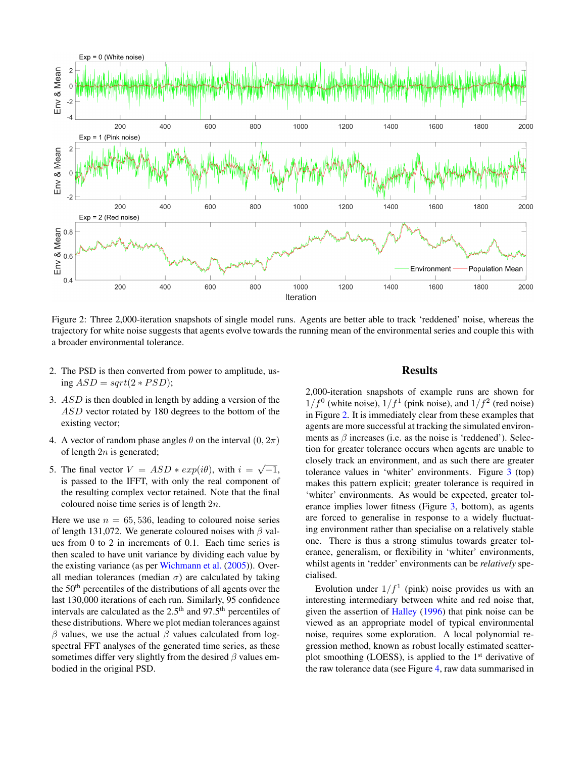

<span id="page-3-0"></span>Figure 2: Three 2,000-iteration snapshots of single model runs. Agents are better able to track 'reddened' noise, whereas the trajectory for white noise suggests that agents evolve towards the running mean of the environmental series and couple this with a broader environmental tolerance.

- 2. The PSD is then converted from power to amplitude, using  $ASD = sqrt(2 * PSD);$
- 3. ASD is then doubled in length by adding a version of the ASD vector rotated by 180 degrees to the bottom of the existing vector;
- 4. A vector of random phase angles  $\theta$  on the interval  $(0, 2\pi)$ of length  $2n$  is generated;
- 5. The final vector  $V = ASD * exp(i\theta)$ , with  $i = \sqrt{-1}$ , is passed to the IFFT, with only the real component of the resulting complex vector retained. Note that the final coloured noise time series is of length 2n.

Here we use  $n = 65, 536$ , leading to coloured noise series of length 131,072. We generate coloured noises with  $\beta$  values from 0 to 2 in increments of 0.1. Each time series is then scaled to have unit variance by dividing each value by the existing variance (as per [Wichmann et al.](#page-7-16) [\(2005\)](#page-7-16)). Overall median tolerances (median  $\sigma$ ) are calculated by taking the  $50<sup>th</sup>$  percentiles of the distributions of all agents over the last 130,000 iterations of each run. Similarly, 95 confidence intervals are calculated as the  $2.5<sup>th</sup>$  and  $97.5<sup>th</sup>$  percentiles of these distributions. Where we plot median tolerances against β values, we use the actual β values calculated from logspectral FFT analyses of the generated time series, as these sometimes differ very slightly from the desired  $\beta$  values embodied in the original PSD.

# Results

2,000-iteration snapshots of example runs are shown for  $1/f<sup>0</sup>$  (white noise),  $1/f<sup>1</sup>$  (pink noise), and  $1/f<sup>2</sup>$  (red noise) in Figure [2.](#page-3-0) It is immediately clear from these examples that agents are more successful at tracking the simulated environments as  $\beta$  increases (i.e. as the noise is 'reddened'). Selection for greater tolerance occurs when agents are unable to closely track an environment, and as such there are greater tolerance values in 'whiter' environments. Figure [3](#page-4-0) (top) makes this pattern explicit; greater tolerance is required in 'whiter' environments. As would be expected, greater tolerance implies lower fitness (Figure [3,](#page-4-0) bottom), as agents are forced to generalise in response to a widely fluctuating environment rather than specialise on a relatively stable one. There is thus a strong stimulus towards greater tolerance, generalism, or flexibility in 'whiter' environments, whilst agents in 'redder' environments can be *relatively* specialised.

Evolution under  $1/f<sup>1</sup>$  (pink) noise provides us with an interesting intermediary between white and red noise that, given the assertion of [Halley](#page-6-0) [\(1996\)](#page-6-0) that pink noise can be viewed as an appropriate model of typical environmental noise, requires some exploration. A local polynomial regression method, known as robust locally estimated scatterplot smoothing (LOESS), is applied to the  $1<sup>st</sup>$  derivative of the raw tolerance data (see Figure [4,](#page-4-1) raw data summarised in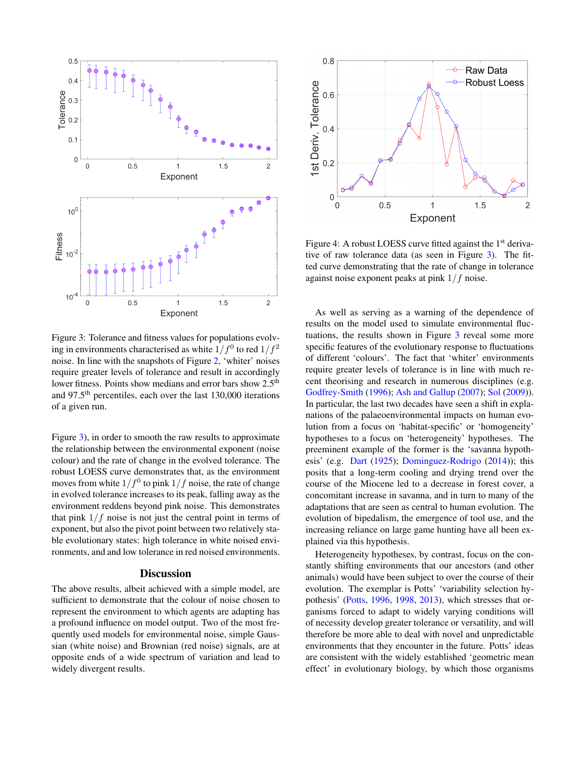

<span id="page-4-0"></span>Figure 3: Tolerance and fitness values for populations evolving in environments characterised as white  $1/f^0$  to red  $1/f^2$ noise. In line with the snapshots of Figure [2,](#page-3-0) 'whiter' noises require greater levels of tolerance and result in accordingly lower fitness. Points show medians and error bars show 2.5<sup>th</sup> and 97.5<sup>th</sup> percentiles, each over the last 130,000 iterations of a given run.

Figure [3\)](#page-4-0), in order to smooth the raw results to approximate the relationship between the environmental exponent (noise colour) and the rate of change in the evolved tolerance. The robust LOESS curve demonstrates that, as the environment moves from white  $1/f^0$  to pink  $1/f$  noise, the rate of change in evolved tolerance increases to its peak, falling away as the environment reddens beyond pink noise. This demonstrates that pink  $1/f$  noise is not just the central point in terms of exponent, but also the pivot point between two relatively stable evolutionary states: high tolerance in white noised environments, and and low tolerance in red noised environments.

### **Discussion**

The above results, albeit achieved with a simple model, are sufficient to demonstrate that the colour of noise chosen to represent the environment to which agents are adapting has a profound influence on model output. Two of the most frequently used models for environmental noise, simple Gaussian (white noise) and Brownian (red noise) signals, are at opposite ends of a wide spectrum of variation and lead to widely divergent results.



<span id="page-4-1"></span>Figure 4: A robust LOESS curve fitted against the 1<sup>st</sup> derivative of raw tolerance data (as seen in Figure [3\)](#page-4-0). The fitted curve demonstrating that the rate of change in tolerance against noise exponent peaks at pink 1/f noise.

As well as serving as a warning of the dependence of results on the model used to simulate environmental fluctuations, the results shown in Figure [3](#page-4-0) reveal some more specific features of the evolutionary response to fluctuations of different 'colours'. The fact that 'whiter' environments require greater levels of tolerance is in line with much recent theorising and research in numerous disciplines (e.g. [Godfrey-Smith](#page-6-15) [\(1996\)](#page-6-15); [Ash and Gallup](#page-6-16) [\(2007\)](#page-6-16); [Sol](#page-7-17) [\(2009\)](#page-7-17)). In particular, the last two decades have seen a shift in explanations of the palaeoenvironmental impacts on human evolution from a focus on 'habitat-specific' or 'homogeneity' hypotheses to a focus on 'heterogeneity' hypotheses. The preeminent example of the former is the 'savanna hypothesis' (e.g. [Dart](#page-6-17) [\(1925\)](#page-6-17); [Dominguez-Rodrigo](#page-6-18) [\(2014\)](#page-6-18)); this posits that a long-term cooling and drying trend over the course of the Miocene led to a decrease in forest cover, a concomitant increase in savanna, and in turn to many of the adaptations that are seen as central to human evolution. The evolution of bipedalism, the emergence of tool use, and the increasing reliance on large game hunting have all been explained via this hypothesis.

Heterogeneity hypotheses, by contrast, focus on the constantly shifting environments that our ancestors (and other animals) would have been subject to over the course of their evolution. The exemplar is Potts' 'variability selection hypothesis' [\(Potts,](#page-7-18) [1996,](#page-7-18) [1998,](#page-7-19) [2013\)](#page-7-20), which stresses that organisms forced to adapt to widely varying conditions will of necessity develop greater tolerance or versatility, and will therefore be more able to deal with novel and unpredictable environments that they encounter in the future. Potts' ideas are consistent with the widely established 'geometric mean effect' in evolutionary biology, by which those organisms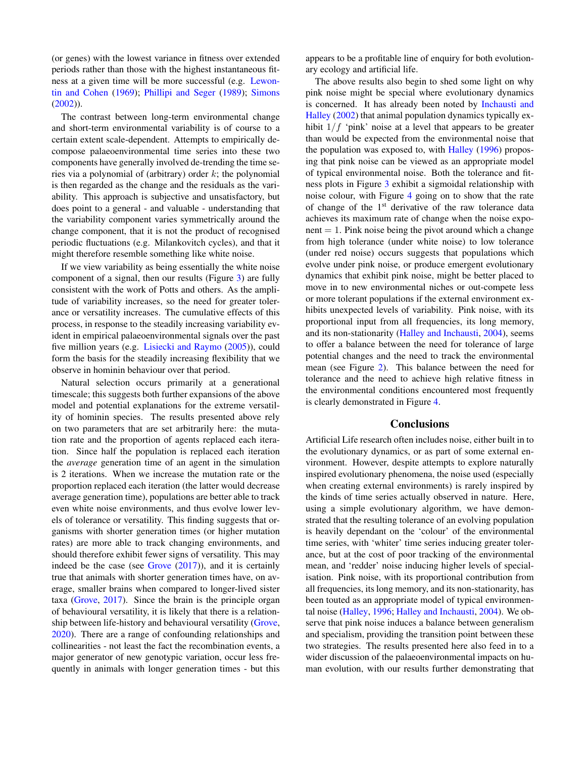(or genes) with the lowest variance in fitness over extended periods rather than those with the highest instantaneous fitness at a given time will be more successful (e.g. [Lewon](#page-7-21)[tin and Cohen](#page-7-21) [\(1969\)](#page-7-21); [Phillipi and Seger](#page-7-22) [\(1989\)](#page-7-22); [Simons](#page-7-23) [\(2002\)](#page-7-23)).

The contrast between long-term environmental change and short-term environmental variability is of course to a certain extent scale-dependent. Attempts to empirically decompose palaeoenvironmental time series into these two components have generally involved de-trending the time series via a polynomial of (arbitrary) order  $k$ ; the polynomial is then regarded as the change and the residuals as the variability. This approach is subjective and unsatisfactory, but does point to a general - and valuable - understanding that the variability component varies symmetrically around the change component, that it is not the product of recognised periodic fluctuations (e.g. Milankovitch cycles), and that it might therefore resemble something like white noise.

If we view variability as being essentially the white noise component of a signal, then our results (Figure [3\)](#page-4-0) are fully consistent with the work of Potts and others. As the amplitude of variability increases, so the need for greater tolerance or versatility increases. The cumulative effects of this process, in response to the steadily increasing variability evident in empirical palaeoenvironmental signals over the past five million years (e.g. [Lisiecki and Raymo](#page-7-24) [\(2005\)](#page-7-24)), could form the basis for the steadily increasing flexibility that we observe in hominin behaviour over that period.

Natural selection occurs primarily at a generational timescale; this suggests both further expansions of the above model and potential explanations for the extreme versatility of hominin species. The results presented above rely on two parameters that are set arbitrarily here: the mutation rate and the proportion of agents replaced each iteration. Since half the population is replaced each iteration the *average* generation time of an agent in the simulation is 2 iterations. When we increase the mutation rate or the proportion replaced each iteration (the latter would decrease average generation time), populations are better able to track even white noise environments, and thus evolve lower levels of tolerance or versatility. This finding suggests that organisms with shorter generation times (or higher mutation rates) are more able to track changing environments, and should therefore exhibit fewer signs of versatility. This may indeed be the case (see  $Grove (2017)$  $Grove (2017)$  $Grove (2017)$ ), and it is certainly true that animals with shorter generation times have, on average, smaller brains when compared to longer-lived sister taxa [\(Grove,](#page-6-19) [2017\)](#page-6-19). Since the brain is the principle organ of behavioural versatility, it is likely that there is a relationship between life-history and behavioural versatility [\(Grove,](#page-6-20) [2020\)](#page-6-20). There are a range of confounding relationships and collinearities - not least the fact the recombination events, a major generator of new genotypic variation, occur less frequently in animals with longer generation times - but this

appears to be a profitable line of enquiry for both evolutionary ecology and artificial life.

The above results also begin to shed some light on why pink noise might be special where evolutionary dynamics is concerned. It has already been noted by [Inchausti and](#page-7-0) [Halley](#page-7-0) [\(2002\)](#page-7-0) that animal population dynamics typically exhibit  $1/f$  'pink' noise at a level that appears to be greater than would be expected from the environmental noise that the population was exposed to, with [Halley](#page-6-0) [\(1996\)](#page-6-0) proposing that pink noise can be viewed as an appropriate model of typical environmental noise. Both the tolerance and fitness plots in Figure [3](#page-4-0) exhibit a sigmoidal relationship with noise colour, with Figure [4](#page-4-1) going on to show that the rate of change of the 1st derivative of the raw tolerance data achieves its maximum rate of change when the noise expo $n$ ent = 1. Pink noise being the pivot around which a change from high tolerance (under white noise) to low tolerance (under red noise) occurs suggests that populations which evolve under pink noise, or produce emergent evolutionary dynamics that exhibit pink noise, might be better placed to move in to new environmental niches or out-compete less or more tolerant populations if the external environment exhibits unexpected levels of variability. Pink noise, with its proportional input from all frequencies, its long memory, and its non-stationarity [\(Halley and Inchausti,](#page-6-2) [2004\)](#page-6-2), seems to offer a balance between the need for tolerance of large potential changes and the need to track the environmental mean (see Figure [2\)](#page-3-0). This balance between the need for tolerance and the need to achieve high relative fitness in the environmental conditions encountered most frequently is clearly demonstrated in Figure [4.](#page-4-1)

### Conclusions

Artificial Life research often includes noise, either built in to the evolutionary dynamics, or as part of some external environment. However, despite attempts to explore naturally inspired evolutionary phenomena, the noise used (especially when creating external environments) is rarely inspired by the kinds of time series actually observed in nature. Here, using a simple evolutionary algorithm, we have demonstrated that the resulting tolerance of an evolving population is heavily dependant on the 'colour' of the environmental time series, with 'whiter' time series inducing greater tolerance, but at the cost of poor tracking of the environmental mean, and 'redder' noise inducing higher levels of specialisation. Pink noise, with its proportional contribution from all frequencies, its long memory, and its non-stationarity, has been touted as an appropriate model of typical environmental noise [\(Halley,](#page-6-0) [1996;](#page-6-0) [Halley and Inchausti,](#page-6-2) [2004\)](#page-6-2). We observe that pink noise induces a balance between generalism and specialism, providing the transition point between these two strategies. The results presented here also feed in to a wider discussion of the palaeoenvironmental impacts on human evolution, with our results further demonstrating that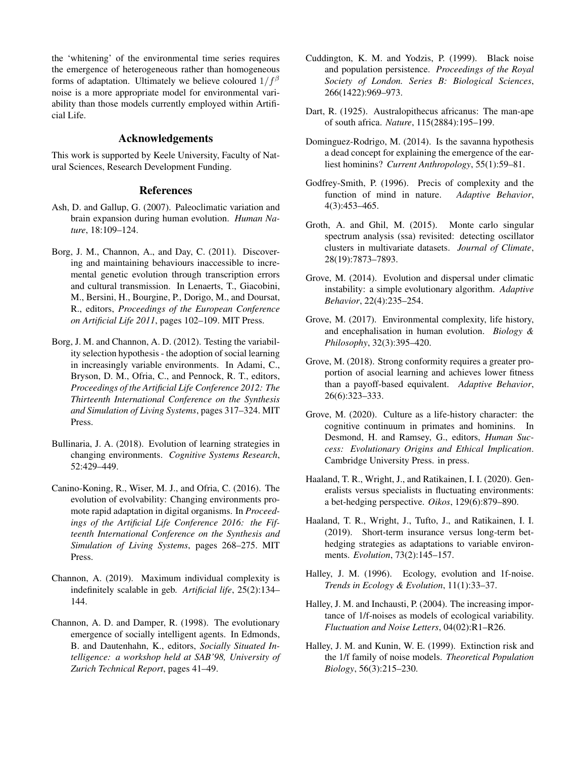the 'whitening' of the environmental time series requires the emergence of heterogeneous rather than homogeneous forms of adaptation. Ultimately we believe coloured  $1/f^{\beta}$ noise is a more appropriate model for environmental variability than those models currently employed within Artificial Life.

### Acknowledgements

This work is supported by Keele University, Faculty of Natural Sciences, Research Development Funding.

### References

- <span id="page-6-16"></span>Ash, D. and Gallup, G. (2007). Paleoclimatic variation and brain expansion during human evolution. *Human Nature*, 18:109–124.
- <span id="page-6-4"></span>Borg, J. M., Channon, A., and Day, C. (2011). Discovering and maintaining behaviours inaccessible to incremental genetic evolution through transcription errors and cultural transmission. In Lenaerts, T., Giacobini, M., Bersini, H., Bourgine, P., Dorigo, M., and Doursat, R., editors, *Proceedings of the European Conference on Artificial Life 2011*, pages 102–109. MIT Press.
- <span id="page-6-5"></span>Borg, J. M. and Channon, A. D. (2012). Testing the variability selection hypothesis - the adoption of social learning in increasingly variable environments. In Adami, C., Bryson, D. M., Ofria, C., and Pennock, R. T., editors, *Proceedings of the Artificial Life Conference 2012: The Thirteenth International Conference on the Synthesis and Simulation of Living Systems*, pages 317–324. MIT Press.
- <span id="page-6-8"></span>Bullinaria, J. A. (2018). Evolution of learning strategies in changing environments. *Cognitive Systems Research*, 52:429–449.
- <span id="page-6-9"></span>Canino-Koning, R., Wiser, M. J., and Ofria, C. (2016). The evolution of evolvability: Changing environments promote rapid adaptation in digital organisms. In *Proceedings of the Artificial Life Conference 2016: the Fifteenth International Conference on the Synthesis and Simulation of Living Systems*, pages 268–275. MIT Press.
- <span id="page-6-10"></span>Channon, A. (2019). Maximum individual complexity is indefinitely scalable in geb. *Artificial life*, 25(2):134– 144.
- <span id="page-6-3"></span>Channon, A. D. and Damper, R. (1998). The evolutionary emergence of socially intelligent agents. In Edmonds, B. and Dautenhahn, K., editors, *Socially Situated Intelligence: a workshop held at SAB'98, University of Zurich Technical Report*, pages 41–49.
- <span id="page-6-11"></span>Cuddington, K. M. and Yodzis, P. (1999). Black noise and population persistence. *Proceedings of the Royal Society of London. Series B: Biological Sciences*, 266(1422):969–973.
- <span id="page-6-17"></span>Dart, R. (1925). Australopithecus africanus: The man-ape of south africa. *Nature*, 115(2884):195–199.
- <span id="page-6-18"></span>Dominguez-Rodrigo, M. (2014). Is the savanna hypothesis a dead concept for explaining the emergence of the earliest hominins? *Current Anthropology*, 55(1):59–81.
- <span id="page-6-15"></span>Godfrey-Smith, P. (1996). Precis of complexity and the function of mind in nature. *Adaptive Behavior*, 4(3):453–465.
- <span id="page-6-1"></span>Groth, A. and Ghil, M. (2015). Monte carlo singular spectrum analysis (ssa) revisited: detecting oscillator clusters in multivariate datasets. *Journal of Climate*, 28(19):7873–7893.
- <span id="page-6-6"></span>Grove, M. (2014). Evolution and dispersal under climatic instability: a simple evolutionary algorithm. *Adaptive Behavior*, 22(4):235–254.
- <span id="page-6-19"></span>Grove, M. (2017). Environmental complexity, life history, and encephalisation in human evolution. *Biology & Philosophy*, 32(3):395–420.
- <span id="page-6-7"></span>Grove, M. (2018). Strong conformity requires a greater proportion of asocial learning and achieves lower fitness than a payoff-based equivalent. *Adaptive Behavior*, 26(6):323–333.
- <span id="page-6-20"></span>Grove, M. (2020). Culture as a life-history character: the cognitive continuum in primates and hominins. In Desmond, H. and Ramsey, G., editors, *Human Success: Evolutionary Origins and Ethical Implication*. Cambridge University Press. in press.
- <span id="page-6-14"></span>Haaland, T. R., Wright, J., and Ratikainen, I. I. (2020). Generalists versus specialists in fluctuating environments: a bet-hedging perspective. *Oikos*, 129(6):879–890.
- <span id="page-6-13"></span>Haaland, T. R., Wright, J., Tufto, J., and Ratikainen, I. I. (2019). Short-term insurance versus long-term bethedging strategies as adaptations to variable environments. *Evolution*, 73(2):145–157.
- <span id="page-6-0"></span>Halley, J. M. (1996). Ecology, evolution and 1f-noise. *Trends in Ecology & Evolution*, 11(1):33–37.
- <span id="page-6-2"></span>Halley, J. M. and Inchausti, P. (2004). The increasing importance of 1/f-noises as models of ecological variability. *Fluctuation and Noise Letters*, 04(02):R1–R26.
- <span id="page-6-12"></span>Halley, J. M. and Kunin, W. E. (1999). Extinction risk and the 1/f family of noise models. *Theoretical Population Biology*, 56(3):215–230.